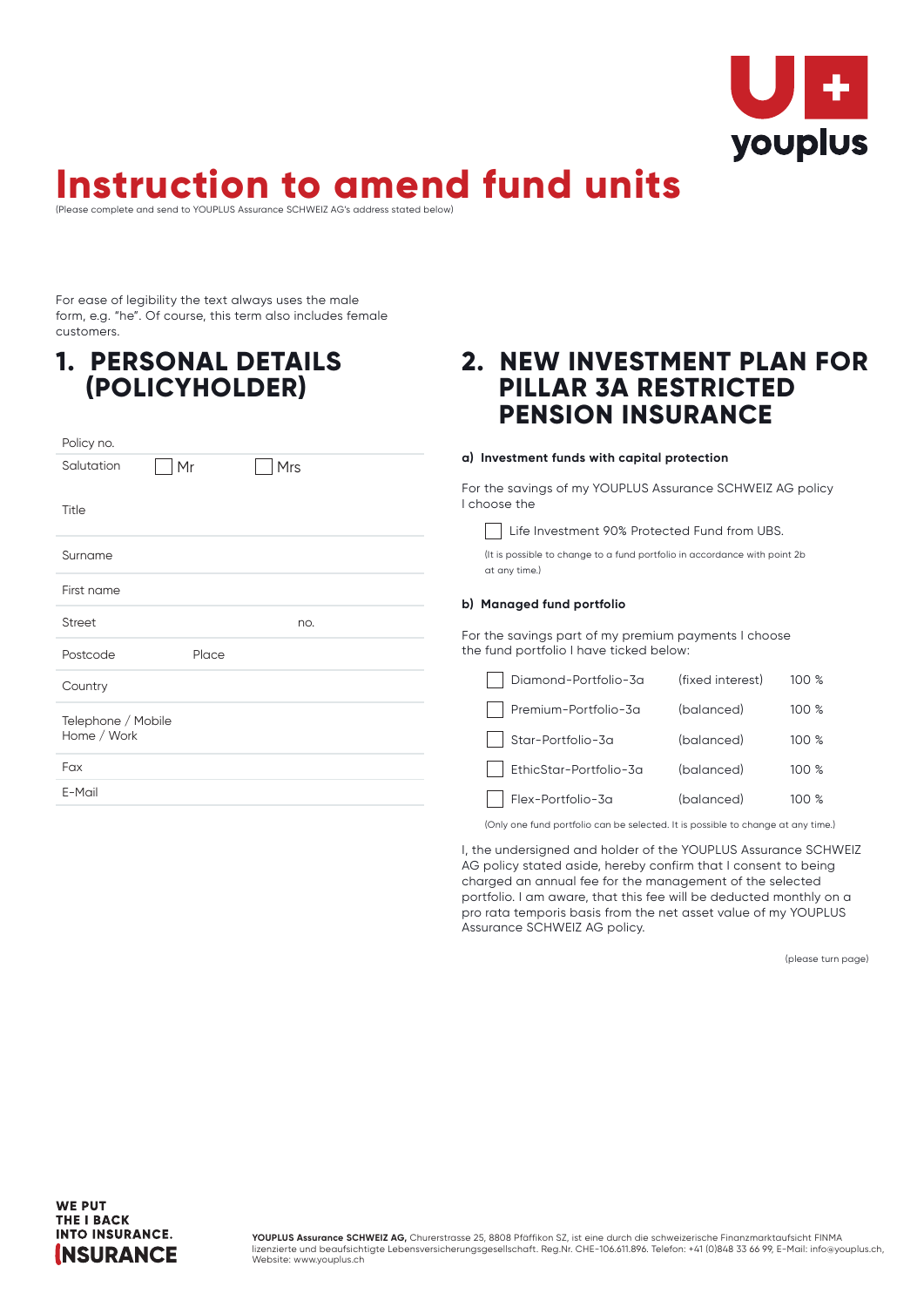

### **Instruction to amend fund units** (Please complete and send to YOUPLUS Assurance SCHWEIZ AG's address stated below)

For ease of legibility the text always uses the male form, e.g. "he". Of course, this term also includes female customers.

## **1. PERSONAL DETAILS (POLICYHOLDER)**

| Policy no.                        |       |     |  |
|-----------------------------------|-------|-----|--|
| Salutation                        | Mr    | Mrs |  |
| Title                             |       |     |  |
| Surname                           |       |     |  |
| First name                        |       |     |  |
| <b>Street</b>                     |       | no. |  |
| Postcode                          | Place |     |  |
| Country                           |       |     |  |
| Telephone / Mobile<br>Home / Work |       |     |  |
| Fax                               |       |     |  |
| E-Mail                            |       |     |  |

# **2. NEW INVESTMENT PLAN FOR PILLAR 3A RESTRICTED PENSION INSURANCE**

#### **a) Investment funds with capital protection**

For the savings of my YOUPLUS Assurance SCHWEIZ AG policy I choose the

Life Investment 90% Protected Fund from UBS.

(It is possible to change to a fund portfolio in accordance with point 2b at any time.)

### **b) Managed fund portfolio**

For the savings part of my premium payments I choose the fund portfolio I have ticked below:

| Diamond-Portfolio-3a   | (fixed interest) | 100%  |
|------------------------|------------------|-------|
| Premium-Portfolio-3a   | (balanced)       | 100%  |
| Star-Portfolio-3a      | (balanced)       | 100%  |
| EthicStar-Portfolio-3a | (balanced)       | 100%  |
| Flex-Portfolio-3a      | (balanced)       | 100 % |

(Only one fund portfolio can be selected. It is possible to change at any time.)

I, the undersigned and holder of the YOUPLUS Assurance SCHWEIZ AG policy stated aside, hereby confirm that I consent to being charged an annual fee for the management of the selected portfolio. I am aware, that this fee will be deducted monthly on a pro rata temporis basis from the net asset value of my YOUPLUS Assurance SCHWEIZ AG policy.

(please turn page)



**YOUPLUS Assurance SCHWEIZ AG,** Churerstrasse 25, 8808 Pfäffikon SZ, ist eine durch die schweizerische Finanzmarktaufsicht FINMA lizenzierte und beaufsichtigte Lebensversicherungsgesellschaft. Reg.Nr. CHE-106.611.896. Telefon: +41 (0)848 33 66 99, E-Mail: info@youplus.ch, Website: www.youplus.ch